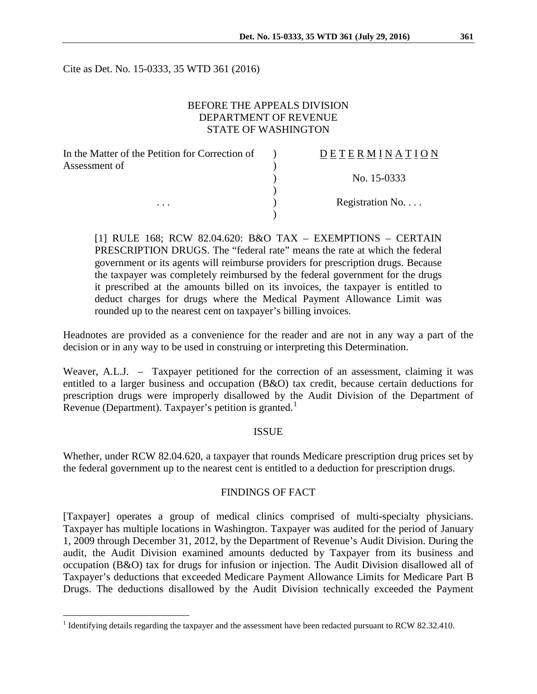Cite as Det. No. 15-0333, 35 WTD 361 (2016)

# BEFORE THE APPEALS DIVISION DEPARTMENT OF REVENUE STATE OF WASHINGTON

| In the Matter of the Petition for Correction of | DETERMINATION            |
|-------------------------------------------------|--------------------------|
| Assessment of                                   |                          |
|                                                 | No. 15-0333              |
|                                                 |                          |
| $\cdots$                                        | Registration No. $\dots$ |
|                                                 |                          |

[1] RULE 168; RCW 82.04.620: B&O TAX – EXEMPTIONS – CERTAIN PRESCRIPTION DRUGS. The "federal rate" means the rate at which the federal government or its agents will reimburse providers for prescription drugs. Because the taxpayer was completely reimbursed by the federal government for the drugs it prescribed at the amounts billed on its invoices, the taxpayer is entitled to deduct charges for drugs where the Medical Payment Allowance Limit was rounded up to the nearest cent on taxpayer's billing invoices.

Headnotes are provided as a convenience for the reader and are not in any way a part of the decision or in any way to be used in construing or interpreting this Determination.

Weaver, A.L.J. – Taxpayer petitioned for the correction of an assessment, claiming it was entitled to a larger business and occupation (B&O) tax credit, because certain deductions for prescription drugs were improperly disallowed by the Audit Division of the Department of Revenue (Department). Taxpayer's petition is granted.<sup>[1](#page-0-0)</sup>

#### ISSUE

Whether, under RCW 82.04.620, a taxpayer that rounds Medicare prescription drug prices set by the federal government up to the nearest cent is entitled to a deduction for prescription drugs.

## FINDINGS OF FACT

[Taxpayer] operates a group of medical clinics comprised of multi-specialty physicians. Taxpayer has multiple locations in Washington. Taxpayer was audited for the period of January 1, 2009 through December 31, 2012, by the Department of Revenue's Audit Division. During the audit, the Audit Division examined amounts deducted by Taxpayer from its business and occupation (B&O) tax for drugs for infusion or injection. The Audit Division disallowed all of Taxpayer's deductions that exceeded Medicare Payment Allowance Limits for Medicare Part B Drugs. The deductions disallowed by the Audit Division technically exceeded the Payment

<span id="page-0-0"></span><sup>&</sup>lt;sup>1</sup> Identifying details regarding the taxpayer and the assessment have been redacted pursuant to RCW 82.32.410.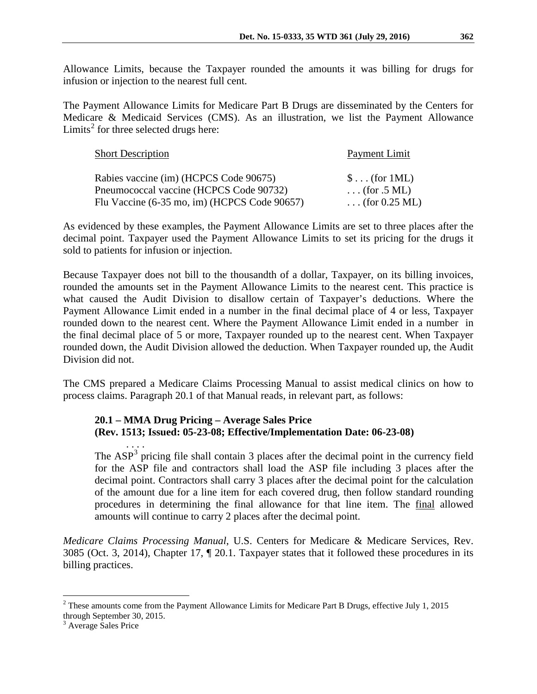Allowance Limits, because the Taxpayer rounded the amounts it was billing for drugs for infusion or injection to the nearest full cent.

The Payment Allowance Limits for Medicare Part B Drugs are disseminated by the Centers for Medicare & Medicaid Services (CMS). As an illustration, we list the Payment Allowance Limits<sup>[2](#page-1-0)</sup> for three selected drugs here:

| <b>Short Description</b>                     | Payment Limit               |
|----------------------------------------------|-----------------------------|
| Rabies vaccine (im) (HCPCS Code 90675)       | $\text{\$} \dots$ (for 1ML) |
| Pneumococcal vaccine (HCPCS Code 90732)      | $\ldots$ (for .5 ML)        |
| Flu Vaccine (6-35 mo, im) (HCPCS Code 90657) | (for $0.25$ ML)             |

As evidenced by these examples, the Payment Allowance Limits are set to three places after the decimal point. Taxpayer used the Payment Allowance Limits to set its pricing for the drugs it sold to patients for infusion or injection.

Because Taxpayer does not bill to the thousandth of a dollar, Taxpayer, on its billing invoices, rounded the amounts set in the Payment Allowance Limits to the nearest cent. This practice is what caused the Audit Division to disallow certain of Taxpayer's deductions. Where the Payment Allowance Limit ended in a number in the final decimal place of 4 or less, Taxpayer rounded down to the nearest cent. Where the Payment Allowance Limit ended in a number in the final decimal place of 5 or more, Taxpayer rounded up to the nearest cent. When Taxpayer rounded down, the Audit Division allowed the deduction. When Taxpayer rounded up, the Audit Division did not.

The CMS prepared a Medicare Claims Processing Manual to assist medical clinics on how to process claims. Paragraph 20.1 of that Manual reads, in relevant part, as follows:

# **20.1 – MMA Drug Pricing – Average Sales Price (Rev. 1513; Issued: 05-23-08; Effective/Implementation Date: 06-23-08)**

. . . . The  $ASP<sup>3</sup>$  $ASP<sup>3</sup>$  $ASP<sup>3</sup>$  pricing file shall contain 3 places after the decimal point in the currency field for the ASP file and contractors shall load the ASP file including 3 places after the decimal point. Contractors shall carry 3 places after the decimal point for the calculation of the amount due for a line item for each covered drug, then follow standard rounding procedures in determining the final allowance for that line item. The final allowed amounts will continue to carry 2 places after the decimal point.

*Medicare Claims Processing Manual*, U.S. Centers for Medicare & Medicare Services, Rev. 3085 (Oct. 3, 2014), Chapter 17, ¶ 20.1. Taxpayer states that it followed these procedures in its billing practices.

<span id="page-1-0"></span> <sup>2</sup> These amounts come from the Payment Allowance Limits for Medicare Part B Drugs, effective July 1, 2015 through September 30, 2015.<br> $3$  Average Sales Price

<span id="page-1-1"></span>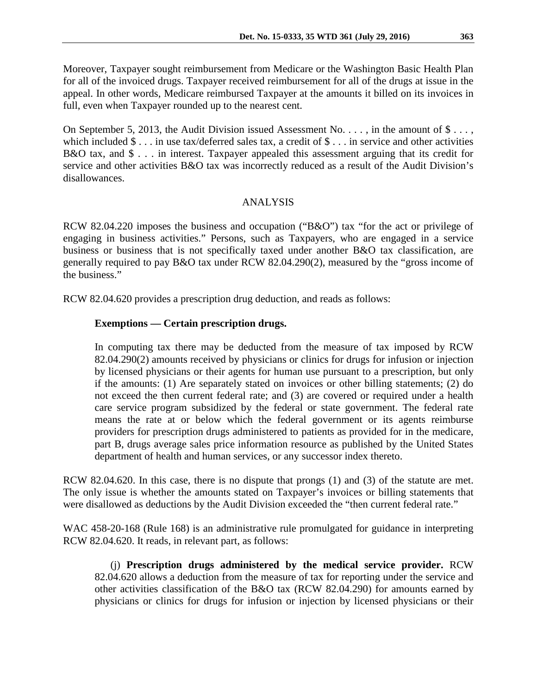Moreover, Taxpayer sought reimbursement from Medicare or the Washington Basic Health Plan for all of the invoiced drugs. Taxpayer received reimbursement for all of the drugs at issue in the appeal. In other words, Medicare reimbursed Taxpayer at the amounts it billed on its invoices in full, even when Taxpayer rounded up to the nearest cent.

On September 5, 2013, the Audit Division issued Assessment No. . . . , in the amount of \$ . . . , which included \$ . . . in use tax/deferred sales tax, a credit of \$ . . . in service and other activities B&O tax, and \$ . . . in interest. Taxpayer appealed this assessment arguing that its credit for service and other activities B&O tax was incorrectly reduced as a result of the Audit Division's disallowances.

## ANALYSIS

RCW 82.04.220 imposes the business and occupation ("B&O") tax "for the act or privilege of engaging in business activities." Persons, such as Taxpayers, who are engaged in a service business or business that is not specifically taxed under another B&O tax classification, are generally required to pay B&O tax under RCW 82.04.290(2), measured by the "gross income of the business."

RCW 82.04.620 provides a prescription drug deduction, and reads as follows:

# **Exemptions — Certain prescription drugs.**

In computing tax there may be deducted from the measure of tax imposed by RCW 82.04.290(2) amounts received by physicians or clinics for drugs for infusion or injection by licensed physicians or their agents for human use pursuant to a prescription, but only if the amounts: (1) Are separately stated on invoices or other billing statements; (2) do not exceed the then current federal rate; and (3) are covered or required under a health care service program subsidized by the federal or state government. The federal rate means the rate at or below which the federal government or its agents reimburse providers for prescription drugs administered to patients as provided for in the medicare, part B, drugs average sales price information resource as published by the United States department of health and human services, or any successor index thereto.

RCW 82.04.620. In this case, there is no dispute that prongs (1) and (3) of the statute are met. The only issue is whether the amounts stated on Taxpayer's invoices or billing statements that were disallowed as deductions by the Audit Division exceeded the "then current federal rate."

WAC 458-20-168 (Rule 168) is an administrative rule promulgated for guidance in interpreting RCW 82.04.620. It reads, in relevant part, as follows:

(j) **Prescription drugs administered by the medical service provider.** RCW 82.04.620 allows a deduction from the measure of tax for reporting under the service and other activities classification of the B&O tax (RCW 82.04.290) for amounts earned by physicians or clinics for drugs for infusion or injection by licensed physicians or their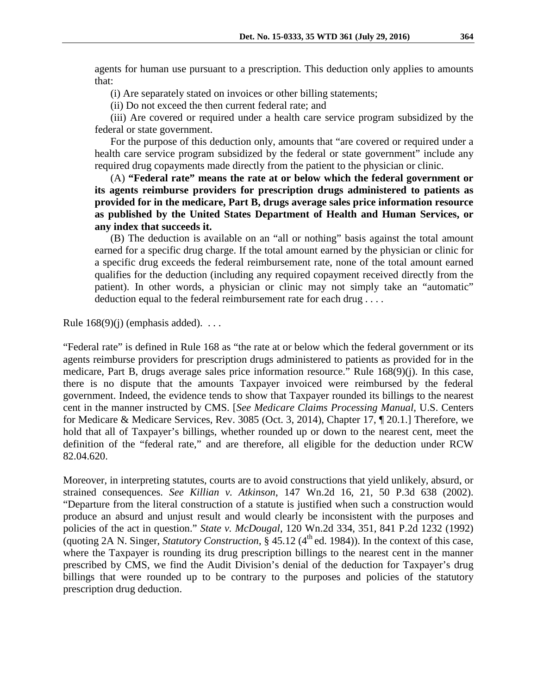agents for human use pursuant to a prescription. This deduction only applies to amounts that:

(i) Are separately stated on invoices or other billing statements;

(ii) Do not exceed the then current federal rate; and

(iii) Are covered or required under a health care service program subsidized by the federal or state government.

For the purpose of this deduction only, amounts that "are covered or required under a health care service program subsidized by the federal or state government" include any required drug copayments made directly from the patient to the physician or clinic.

(A) **"Federal rate" means the rate at or below which the federal government or its agents reimburse providers for prescription drugs administered to patients as provided for in the medicare, Part B, drugs average sales price information resource as published by the United States Department of Health and Human Services, or any index that succeeds it.**

(B) The deduction is available on an "all or nothing" basis against the total amount earned for a specific drug charge. If the total amount earned by the physician or clinic for a specific drug exceeds the federal reimbursement rate, none of the total amount earned qualifies for the deduction (including any required copayment received directly from the patient). In other words, a physician or clinic may not simply take an "automatic" deduction equal to the federal reimbursement rate for each drug . . . .

Rule  $168(9)(i)$  (emphasis added). ...

"Federal rate" is defined in Rule 168 as "the rate at or below which the federal government or its agents reimburse providers for prescription drugs administered to patients as provided for in the medicare, Part B, drugs average sales price information resource." Rule 168(9)(j). In this case, there is no dispute that the amounts Taxpayer invoiced were reimbursed by the federal government. Indeed, the evidence tends to show that Taxpayer rounded its billings to the nearest cent in the manner instructed by CMS. [*See Medicare Claims Processing Manual*, U.S. Centers for Medicare & Medicare Services, Rev. 3085 (Oct. 3, 2014), Chapter 17, ¶ 20.1.] Therefore, we hold that all of Taxpayer's billings, whether rounded up or down to the nearest cent, meet the definition of the "federal rate," and are therefore, all eligible for the deduction under RCW 82.04.620.

Moreover, in interpreting statutes, courts are to avoid constructions that yield unlikely, absurd, or strained consequences. *See Killian v. Atkinson*, 147 Wn.2d 16, 21, 50 P.3d 638 (2002). "Departure from the literal construction of a statute is justified when such a construction would produce an absurd and unjust result and would clearly be inconsistent with the purposes and policies of the act in question." *State v. McDougal*, 120 Wn.2d 334, 351, 841 P.2d 1232 (1992) (quoting 2A N. Singer, *Statutory Construction*,  $\S$  45.12 ( $4^{\text{th}}$  ed. 1984)). In the context of this case, where the Taxpayer is rounding its drug prescription billings to the nearest cent in the manner prescribed by CMS, we find the Audit Division's denial of the deduction for Taxpayer's drug billings that were rounded up to be contrary to the purposes and policies of the statutory prescription drug deduction.